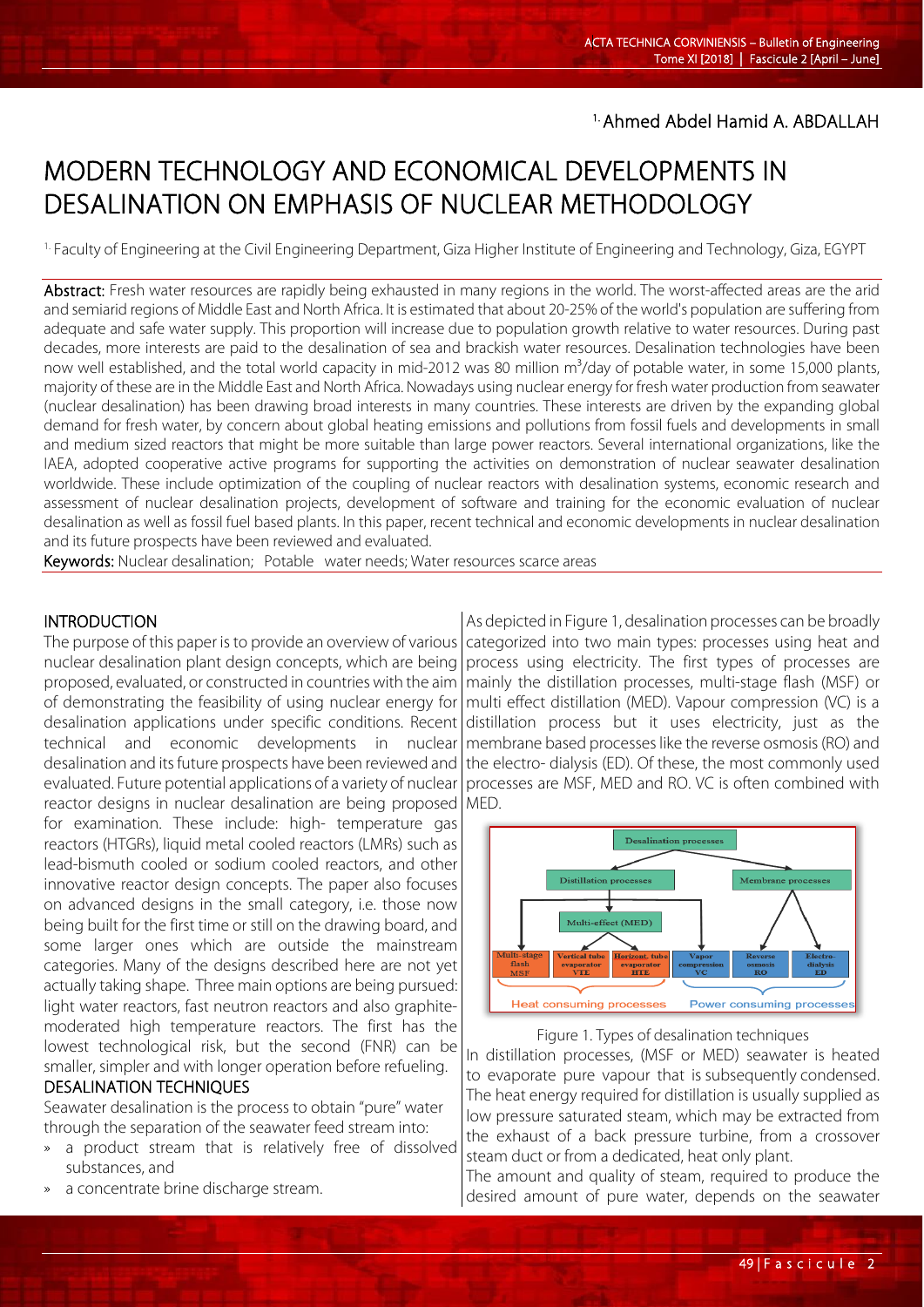## 1. Ahmed Abdel Hamid A. ABDALLAH

# MODERN TECHNOLOGY AND ECONOMICAL DEVELOPMENTS IN DESALINATION ON EMPHASIS OF NUCLEAR METHODOLOGY

1. Faculty of Engineering at the Civil Engineering Department, Giza Higher Institute of Engineering and Technology, Giza, EGYPT

Abstract: Fresh water resources are rapidly being exhausted in many regions in the world. The worst-affected areas are the arid and semiarid regions of Middle East and North Africa. It is estimated that about 20-25% of the world's population are suffering from adequate and safe water supply. This proportion will increase due to population growth relative to water resources. During past decades, more interests are paid to the desalination of sea and brackish water resources. Desalination technologies have been now well established, and the total world capacity in mid-2012 was 80 million m<sup>3</sup>/day of potable water, in some 15,000 plants, majority of these are in the Middle East and North Africa. Nowadays using nuclear energy for fresh water production from seawater (nuclear desalination) has been drawing broad interests in many countries. These interests are driven by the expanding global demand for fresh water, by concern about global heating emissions and pollutions from fossil fuels and developments in small and medium sized reactors that might be more suitable than large power reactors. Several international organizations, like the IAEA, adopted cooperative active programs for supporting the activities on demonstration of nuclear seawater desalination worldwide. These include optimization of the coupling of nuclear reactors with desalination systems, economic research and assessment of nuclear desalination projects, development of software and training for the economic evaluation of nuclear desalination as well as fossil fuel based plants. In this paper, recent technical and economic developments in nuclear desalination and its future prospects have been reviewed and evaluated.

Keywords: Nuclear desalination; Potable water needs; Water resources scarce areas

#### **INTRODUCTION**

l

The purpose of this paper is to provide an overview of various nuclear desalination plant design concepts, which are being proposed, evaluated, or constructed in countries with the aim of demonstrating the feasibility of using nuclear energy for desalination applications under specific conditions. Recent technical and economic developments in nuclear desalination and its future prospects have been reviewed and evaluated. Future potential applications of a variety of nuclear reactor designs in nuclear desalination are being proposed

for examination. These include: high- temperature gas reactors (HTGRs), liquid metal cooled reactors (LMRs) such as lead-bismuth cooled or sodium cooled reactors, and other innovative reactor design concepts. The paper also focuses on advanced designs in the small category, i.e. those now being built for the first time or still on the drawing board, and some larger ones which are outside the mainstream categories. Many of the designs described here are not yet actually taking shape. Three main options are being pursued: light water reactors, fast neutron reactors and also graphitemoderated high temperature reactors. The first has the lowest technological risk, but the second (FNR) can be smaller, simpler and with longer operation before refueling.

## DESALINATION TECHNIQUES

Seawater desalination is the process to obtain "pure" water through the separation of the seawater feed stream into:

- a product stream that is relatively free of dissolved substances, and
- a concentrate brine discharge stream.

As depicted in Figure 1, desalination processes can be broadly categorized into two main types: processes using heat and process using electricity. The first types of processes are mainly the distillation processes, multi-stage flash (MSF) or multi effect distillation (MED). Vapour compression (VC) is a distillation process but it uses electricity, just as the membrane based processes like the reverse osmosis (RO) and the electro- dialysis (ED). Of these, the most commonly used processes are MSF, MED and RO. VC is often combined with MED.



Figure 1. Types of desalination techniques

In distillation processes, (MSF or MED) seawater is heated to evaporate pure vapour that is subsequently condensed. The heat energy required for distillation is usually supplied as low pressure saturated steam, which may be extracted from the exhaust of a back pressure turbine, from a crossover steam duct or from a dedicated, heat only plant.

The amount and quality of steam, required to produce the desired amount of pure water, depends on the seawater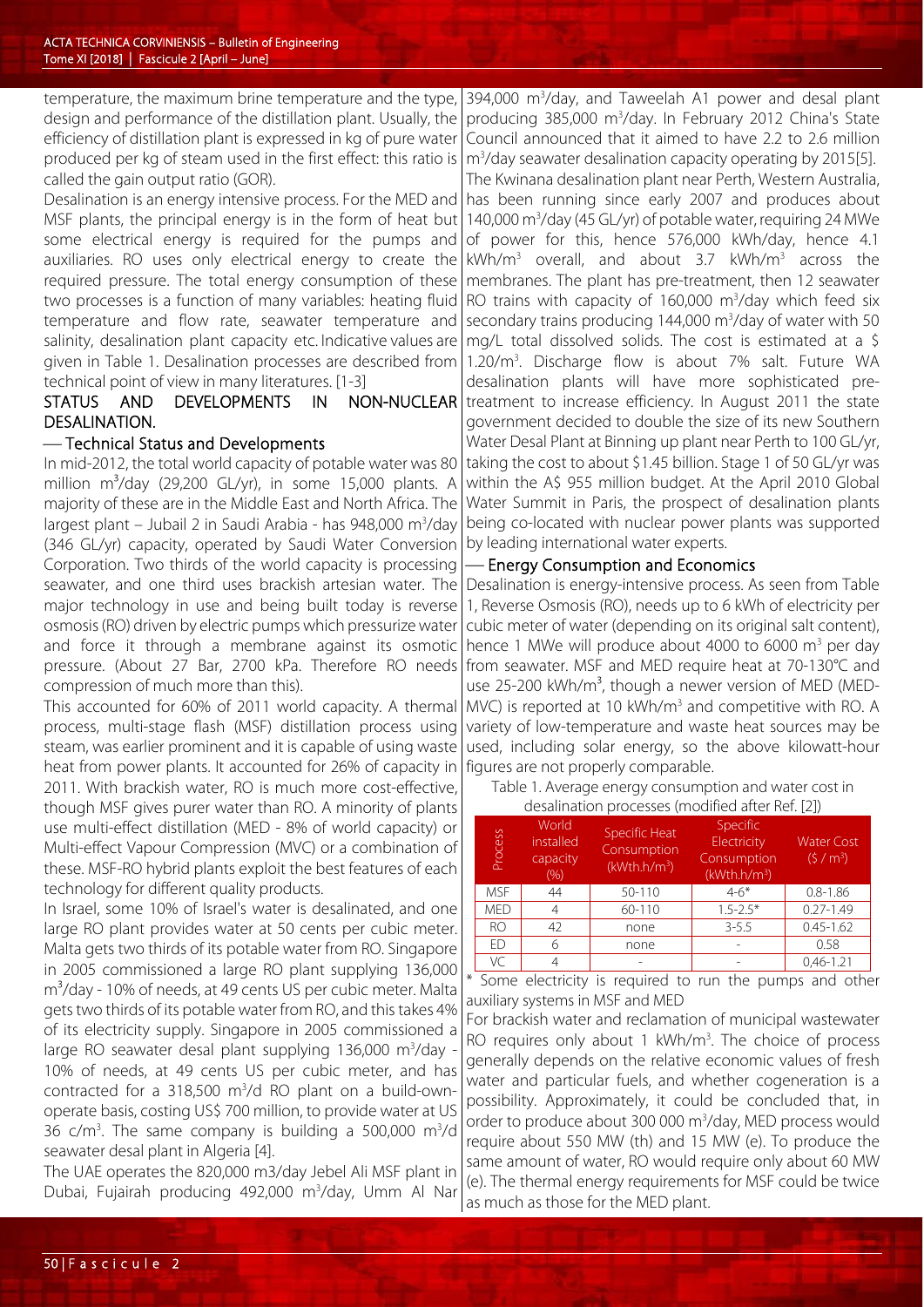temperature, the maximum brine temperature and the type, design and performance of the distillation plant. Usually, the efficiency of distillation plant is expressed in kg of pure water produced per kg of steam used in the first effect: this ratio is called the gain output ratio (GOR).

Desalination is an energy intensive process. For the MED and MSF plants, the principal energy is in the form of heat but some electrical energy is required for the pumps and auxiliaries. RO uses only electrical energy to create the required pressure. The total energy consumption of these two processes is a function of many variables: heating fluid temperature and flow rate, seawater temperature and salinity, desalination plant capacity etc. Indicative values are given in Table 1. Desalination processes are described from technical point of view in many literatures. [1-3]

## STATUS AND DEVELOPMENTS IN NON-NUCLEAR DESALINATION.

## Technical Status and Developments

In mid-2012, the total world capacity of potable water was 80 million  $m^3$ /day (29,200 GL/yr), in some 15,000 plants. A majority of these are in the Middle East and North Africa. The largest plant – Jubail 2 in Saudi Arabia - has 948,000 m<sup>3</sup>/day (346 GL/yr) capacity, operated by Saudi Water Conversion Corporation. Two thirds of the world capacity is processing seawater, and one third uses brackish artesian water. The major technology in use and being built today is reverse osmosis (RO) driven by electric pumps which pressurize water and force it through a membrane against its osmotic pressure. (About 27 Bar, 2700 kPa. Therefore RO needs compression of much more than this).

This accounted for 60% of 2011 world capacity. A thermal process, multi-stage flash (MSF) distillation process using steam, was earlier prominent and it is capable of using waste heat from power plants. It accounted for 26% of capacity in 2011. With brackish water, RO is much more cost-effective, though MSF gives purer water than RO. A minority of plants use multi-effect distillation (MED - 8% of world capacity) or Multi-effect Vapour Compression (MVC) or a combination of these. MSF-RO hybrid plants exploit the best features of each technology for different quality products.

In Israel, some 10% of Israel's water is desalinated, and one large RO plant provides water at 50 cents per cubic meter. Malta gets two thirds of its potable water from RO. Singapore in 2005 commissioned a large RO plant supplying 136,000 m<sup>3</sup>/day - 10% of needs, at 49 cents US per cubic meter. Malta gets two thirds of its potable water from RO, and this takes 4% of its electricity supply. Singapore in 2005 commissioned a large RO seawater desal plant supplying 136,000 m<sup>3</sup>/day -10% of needs, at 49 cents US per cubic meter, and has contracted for a  $318,500$  m<sup>3</sup>/d RO plant on a build-ownoperate basis, costing US\$ 700 million, to provide water at US 36  $c/m<sup>3</sup>$ . The same company is building a 500,000 m<sup>3</sup>/d seawater desal plant in Algeria [4].

The UAE operates the 820,000 m3/day Jebel Ali MSF plant in Dubai, Fujairah producing 492,000 m<sup>3</sup>/day, Umm Al Nar

394,000 m3 /day, and Taweelah A1 power and desal plant producing 385,000 m3 /day. In February 2012 China's State Council announced that it aimed to have 2.2 to 2.6 million m3 /day seawater desalination capacity operating by 2015[5].

The Kwinana desalination plant near Perth, Western Australia, has been running since early 2007 and produces about 140,000 m<sup>3</sup>/day (45 GL/yr) of potable water, requiring 24 MWe of power for this, hence 576,000 kWh/day, hence 4.1 kWh/m<sup>3</sup> overall, and about 3.7 kWh/m<sup>3</sup> across the membranes. The plant has pre-treatment, then 12 seawater RO trains with capacity of  $160,000$  m<sup>3</sup>/day which feed six secondary trains producing  $144,000 \text{ m}^3/\text{day}$  of water with 50 mg/L total dissolved solids. The cost is estimated at a \$ 1.20/m3 . Discharge flow is about 7% salt. Future WA desalination plants will have more sophisticated pretreatment to increase efficiency. In August 2011 the state government decided to double the size of its new Southern Water Desal Plant at Binning up plant near Perth to 100 GL/yr, taking the cost to about \$1.45 billion. Stage 1 of 50 GL/yr was within the A\$ 955 million budget. At the April 2010 Global

Water Summit in Paris, the prospect of desalination plants being co-located with nuclear power plants was supported by leading international water experts.

#### Energy Consumption and Economics

Desalination is energy-intensive process. As seen from Table 1, Reverse Osmosis (RO), needs up to 6 kWh of electricity per cubic meter of water (depending on its original salt content), hence 1 MWe will produce about 4000 to 6000 m<sup>3</sup> per day from seawater. MSF and MED require heat at 70-130°C and use 25-200 kWh/ $m<sup>3</sup>$ , though a newer version of MED (MED-MVC) is reported at 10 kWh/m<sup>3</sup> and competitive with RO. A variety of low-temperature and waste heat sources may be used, including solar energy, so the above kilowatt-hour figures are not properly comparable.

Table 1. Average energy consumption and water cost in desalination processes (modified after Ref. [2])

| Process    | World<br>installed<br>capacity<br>(%) | Specific Heat<br>Consumption<br>(kWth.h/m <sup>3</sup> ) | Specific<br>Electricity<br>Consumption<br>(kWth.h/m <sup>3</sup> ) | <b>Water Cost</b><br>(5 / m <sup>3</sup> ) |
|------------|---------------------------------------|----------------------------------------------------------|--------------------------------------------------------------------|--------------------------------------------|
| <b>MSF</b> | 44                                    | 50-110                                                   | $4 - 6*$                                                           | $0.8 - 1.86$                               |
| <b>MED</b> |                                       | 60-110                                                   | $1.5 - 2.5*$                                                       | $0.27 - 1.49$                              |
| <b>RO</b>  | 42                                    | none                                                     | $3 - 5.5$                                                          | $0.45 - 1.62$                              |
| FD         |                                       | none                                                     |                                                                    | 0.58                                       |
| VC.        |                                       |                                                          |                                                                    | $0.46 - 1.21$                              |

\* Some electricity is required to run the pumps and other auxiliary systems in MSF and MED

For brackish water and reclamation of municipal wastewater RO requires only about 1 kWh/m<sup>3</sup>. The choice of process generally depends on the relative economic values of fresh water and particular fuels, and whether cogeneration is a possibility. Approximately, it could be concluded that, in order to produce about 300 000 m3 /day, MED process would require about 550 MW (th) and 15 MW (e). To produce the same amount of water, RO would require only about 60 MW (e). The thermal energy requirements for MSF could be twice as much as those for the MED plant.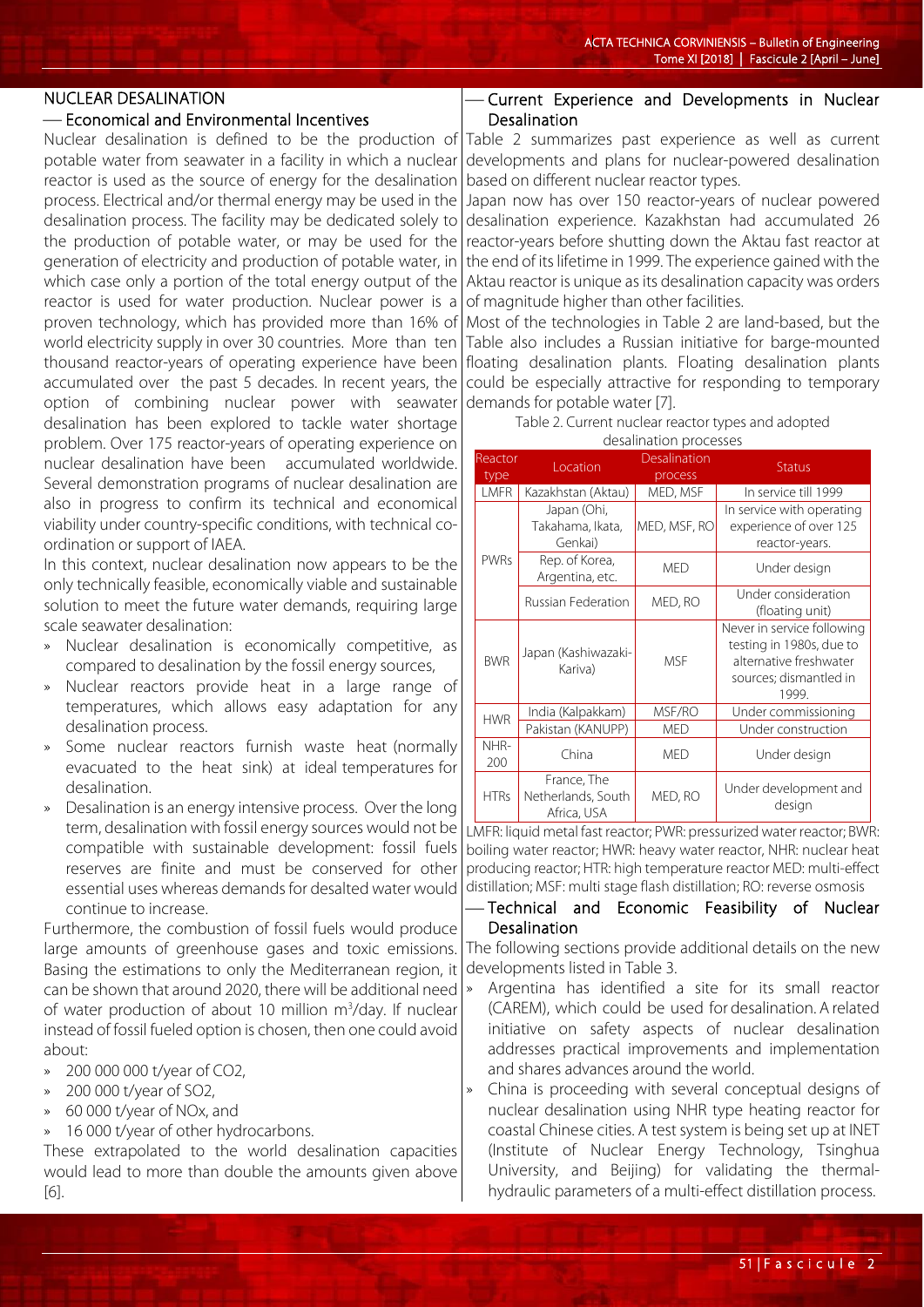#### NUCLEAR DESALINATION

#### Economical and Environmental Incentives

Nuclear desalination is defined to be the production of potable water from seawater in a facility in which a nuclear reactor is used as the source of energy for the desalination process. Electrical and/or thermal energy may be used in the desalination process. The facility may be dedicated solely to the production of potable water, or may be used for the generation of electricity and production of potable water, in which case only a portion of the total energy output of the reactor is used for water production. Nuclear power is a proven technology, which has provided more than 16% of world electricity supply in over 30 countries. More than ten thousand reactor-years of operating experience have been accumulated over the past 5 decades. In recent years, the option of combining nuclear power with seawater desalination has been explored to tackle water shortage problem. Over 175 reactor-years of operating experience on nuclear desalination have been accumulated worldwide. Several demonstration programs of nuclear desalination are also in progress to confirm its technical and economical viability under country-specific conditions, with technical coordination or support of IAEA.

In this context, nuclear desalination now appears to be the only technically feasible, economically viable and sustainable solution to meet the future water demands, requiring large scale seawater desalination:

- » Nuclear desalination is economically competitive, as compared to desalination by the fossil energy sources,
- » Nuclear reactors provide heat in a large range of temperatures, which allows easy adaptation for any desalination process.
- Some nuclear reactors furnish waste heat (normally evacuated to the heat sink) at ideal temperatures for desalination.
- » Desalination is an energy intensive process. Over the long term, desalination with fossil energy sources would not be compatible with sustainable development: fossil fuels reserves are finite and must be conserved for other essential uses whereas demands for desalted water would continue to increase.

Furthermore, the combustion of fossil fuels would produce large amounts of greenhouse gases and toxic emissions. Basing the estimations to only the Mediterranean region, it can be shown that around 2020, there will be additional need of water production of about 10 million m<sup>3</sup>/day. If nuclear instead of fossil fueled option is chosen, then one could avoid about:

- » 200 000 000 t/year of CO2,
- » 200 000 t/year of SO2,
- » 60 000 t/year of NOx, and
- 16 000 t/year of other hydrocarbons.

These extrapolated to the world desalination capacities would lead to more than double the amounts given above [6].

## Current Experience and Developments in Nuclear Desalination

Table 2 summarizes past experience as well as current developments and plans for nuclear-powered desalination based on different nuclear reactor types.

Japan now has over 150 reactor-years of nuclear powered desalination experience. Kazakhstan had accumulated 26 reactor-years before shutting down the Aktau fast reactor at the end of its lifetime in 1999. The experience gained with the Aktau reactor is unique as its desalination capacity was orders of magnitude higher than other facilities.

Most of the technologies in Table 2 are land-based, but the Table also includes a Russian initiative for barge-mounted floating desalination plants. Floating desalination plants could be especially attractive for responding to temporary demands for potable water [7].

> Table 2. Current nuclear reactor types and adopted desalination processes

| Reactor<br>type | Location                                         | Desalination<br>process | <b>Status</b>                                                                                                       |  |
|-----------------|--------------------------------------------------|-------------------------|---------------------------------------------------------------------------------------------------------------------|--|
| LMFR            | Kazakhstan (Aktau)                               | MED, MSF                | In service till 1999                                                                                                |  |
|                 | Japan (Ohi,<br>Takahama, Ikata,<br>Genkai)       | MED, MSF, RO            | In service with operating<br>experience of over 125<br>reactor-years.                                               |  |
| <b>PWRs</b>     | Rep. of Korea,<br>Argentina, etc.                | <b>MED</b>              | Under design                                                                                                        |  |
|                 | Russian Federation                               | MED, RO                 | Under consideration<br>(floating unit)                                                                              |  |
| <b>BWR</b>      | Japan (Kashiwazaki-<br>Kariva)                   | <b>MSF</b>              | Never in service following<br>testing in 1980s, due to<br>alternative freshwater<br>sources; dismantled in<br>1999. |  |
| <b>HWR</b>      | India (Kalpakkam)                                | MSF/RO                  | Under commissioning                                                                                                 |  |
|                 | Pakistan (KANUPP)                                | <b>MED</b>              | Under construction                                                                                                  |  |
| NHR-<br>200     | China                                            | <b>MED</b>              | Under design                                                                                                        |  |
| <b>HTRs</b>     | France, The<br>Netherlands, South<br>Africa, USA | MED, RO                 | Under development and<br>design                                                                                     |  |

LMFR: liquid metal fast reactor; PWR: pressurized water reactor; BWR: boiling water reactor; HWR: heavy water reactor, NHR: nuclear heat producing reactor; HTR: high temperature reactor MED: multi-effect distillation; MSF: multi stage flash distillation; RO: reverse osmosis

## Technical and Economic Feasibility of Nuclear Desalination

The following sections provide additional details on the new developments listed in Table 3.

- » Argentina has identified a site for its small reactor (CAREM), which could be used for desalination. A related initiative on safety aspects of nuclear desalination addresses practical improvements and implementation and shares advances around the world.
- » China is proceeding with several conceptual designs of nuclear desalination using NHR type heating reactor for coastal Chinese cities. A test system is being set up at INET (Institute of Nuclear Energy Technology, Tsinghua University, and Beijing) for validating the thermalhydraulic parameters of a multi-effect distillation process.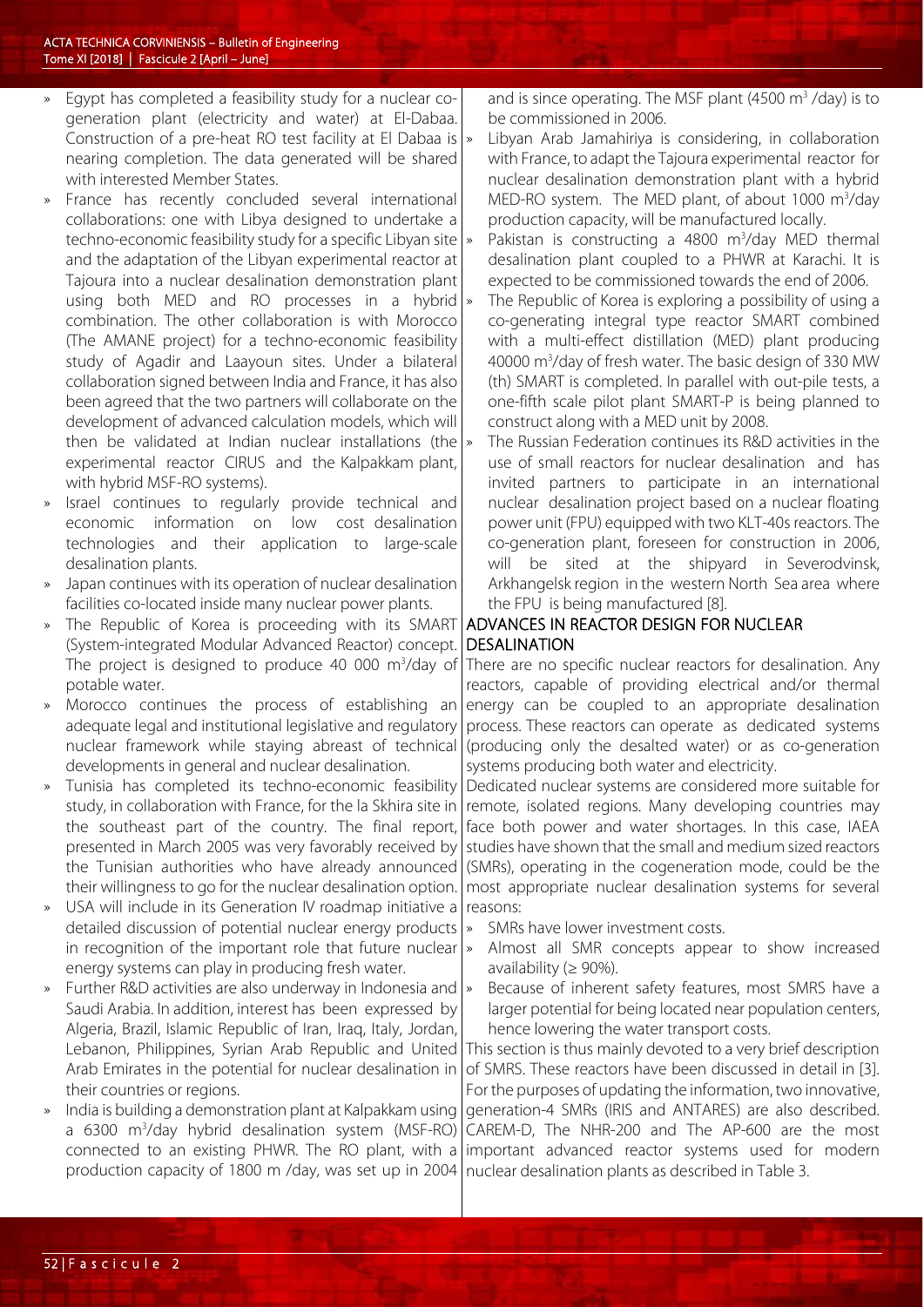- » Egypt has completed a feasibility study for a nuclear cogeneration plant (electricity and water) at El-Dabaa. Construction of a pre-heat RO test facility at El Dabaa is nearing completion. The data generated will be shared with interested Member States.
- France has recently concluded several international collaborations: one with Libya designed to undertake a techno-economic feasibility study for a specific Libyan site and the adaptation of the Libyan experimental reactor at Tajoura into a nuclear desalination demonstration plant using both MED and RO processes in a hybrid  $\frac{1}{2}$ combination. The other collaboration is with Morocco (The AMANE project) for a techno-economic feasibility study of Agadir and Laayoun sites. Under a bilateral collaboration signed between India and France, it has also been agreed that the two partners will collaborate on the development of advanced calculation models, which will then be validated at Indian nuclear installations (the experimental reactor CIRUS and the Kalpakkam plant, with hybrid MSF-RO systems).
- Israel continues to regularly provide technical and economic information on low cost desalination technologies and their application to large-scale desalination plants.
- » Japan continues with its operation of nuclear desalination facilities co-located inside many nuclear power plants.
- The Republic of Korea is proceeding with its SMART (System-integrated Modular Advanced Reactor) concept. The project is designed to produce 40 000 m<sup>3</sup>/day of potable water.
- » Morocco continues the process of establishing an adequate legal and institutional legislative and regulatory nuclear framework while staying abreast of technical developments in general and nuclear desalination.
- » Tunisia has completed its techno-economic feasibility study, in collaboration with France, for the la Skhira site in the southeast part of the country. The final report, presented in March 2005 was very favorably received by the Tunisian authorities who have already announced their willingness to go for the nuclear desalination option.
- » USA will include in its Generation IV roadmap initiative a detailed discussion of potential nuclear energy products in recognition of the important role that future nuclear energy systems can play in producing fresh water.
- » Further R&D activities are also underway in Indonesia and Saudi Arabia. In addition, interest has been expressed by Algeria, Brazil, Islamic Republic of Iran, Iraq, Italy, Jordan, Lebanon, Philippines, Syrian Arab Republic and United Arab Emirates in the potential for nuclear desalination in their countries or regions.
- » India is building a demonstration plant at Kalpakkam using a 6300 m<sup>3</sup>/day hybrid desalination system (MSF-RO) connected to an existing PHWR. The RO plant, with a production capacity of 1800 m /day, was set up in 2004

and is since operating. The MSF plant  $(4500 \text{ m}^3$ /day) is to be commissioned in 2006.

- Libyan Arab Jamahiriya is considering, in collaboration with France, to adapt the Tajoura experimental reactor for nuclear desalination demonstration plant with a hybrid MED-RO system. The MED plant, of about 1000 m<sup>3</sup>/day production capacity, will be manufactured locally.
- » Pakistan is constructing a 4800 m<sup>3</sup>/day MED thermal desalination plant coupled to a PHWR at Karachi. It is expected to be commissioned towards the end of 2006.
	- The Republic of Korea is exploring a possibility of using a co-generating integral type reactor SMART combined with a multi-effect distillation (MED) plant producing 40000 m<sup>3</sup>/day of fresh water. The basic design of 330 MW (th) SMART is completed. In parallel with out-pile tests, a one-fifth scale pilot plant SMART-P is being planned to construct along with a MED unit by 2008.
- » The Russian Federation continues its R&D activities in the use of small reactors for nuclear desalination and has invited partners to participate in an international nuclear desalination project based on a nuclear floating power unit (FPU) equipped with two KLT-40s reactors. The co-generation plant, foreseen for construction in 2006, will be sited at the shipyard in Severodvinsk, Arkhangelsk region in the western North Sea area where the FPU is being manufactured [8].

## ADVANCES IN REACTOR DESIGN FOR NUCLEAR DESALINATION

There are no specific nuclear reactors for desalination. Any reactors, capable of providing electrical and/or thermal energy can be coupled to an appropriate desalination process. These reactors can operate as dedicated systems (producing only the desalted water) or as co-generation systems producing both water and electricity.

Dedicated nuclear systems are considered more suitable for remote, isolated regions. Many developing countries may face both power and water shortages. In this case, IAEA studies have shown that the small and medium sized reactors (SMRs), operating in the cogeneration mode, could be the most appropriate nuclear desalination systems for several reasons:

- SMRs have lower investment costs.
- Almost all SMR concepts appear to show increased availability ( $\geq 90\%$ ).
- » Because of inherent safety features, most SMRS have a larger potential for being located near population centers, hence lowering the water transport costs.

This section is thus mainly devoted to a very brief description of SMRS. These reactors have been discussed in detail in [3]. For the purposes of updating the information, two innovative, generation-4 SMRs (IRIS and ANTARES) are also described. CAREM-D, The NHR-200 and The AP-600 are the most important advanced reactor systems used for modern nuclear desalination plants as described in Table 3.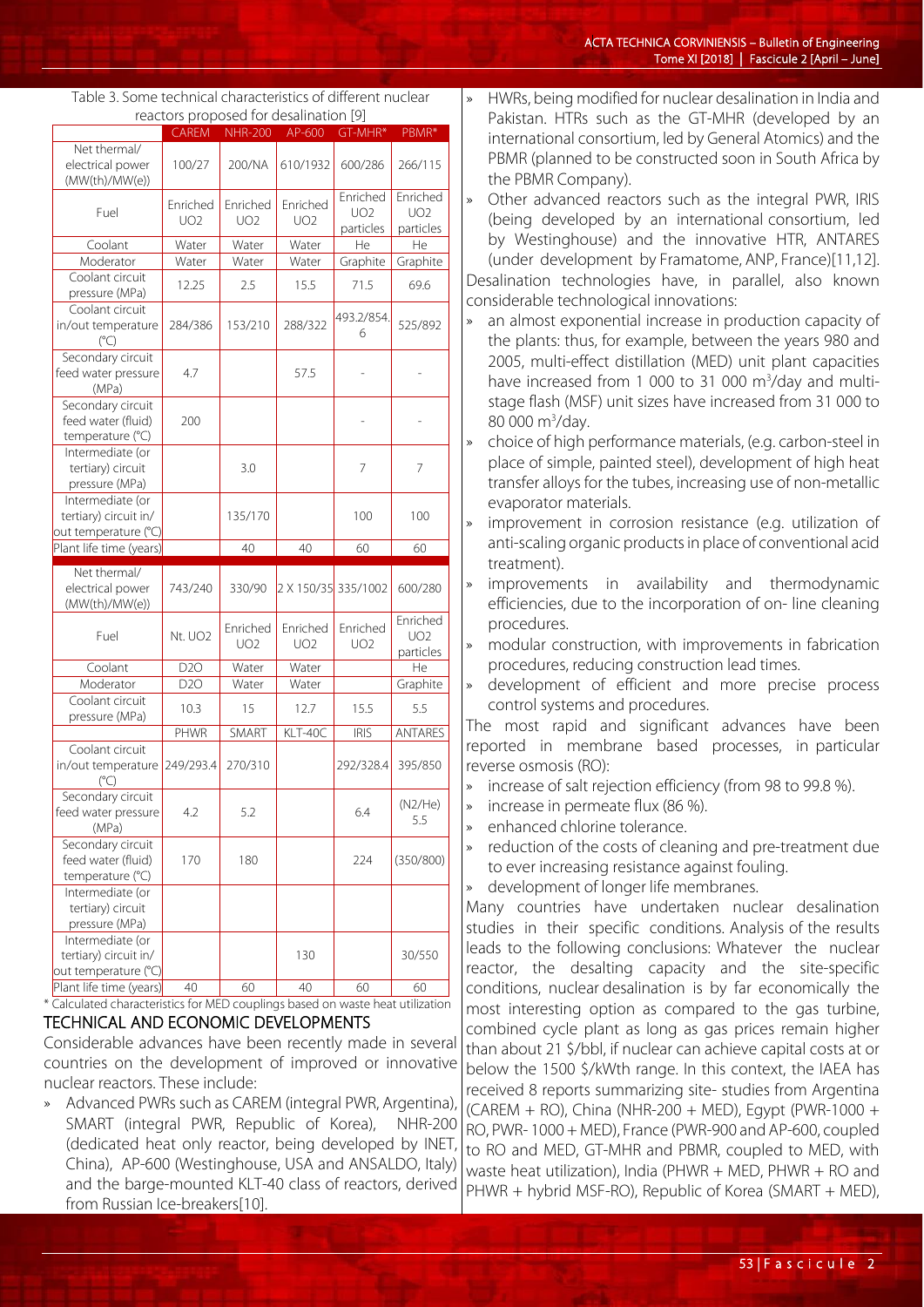| ACTA TECHNICA CORVINIENSIS - Bulletin of Engineering |                                             |
|------------------------------------------------------|---------------------------------------------|
|                                                      | Tome XI [2018]   Fascicule 2 [April - June] |

|                                                 | <b>CAREM</b>        | <b>NHR-200</b>  | AP-600              | GT-MHR*         | PBMR*                          |
|-------------------------------------------------|---------------------|-----------------|---------------------|-----------------|--------------------------------|
| Net thermal/                                    |                     |                 |                     |                 |                                |
| electrical power                                | 100/27              | 200/NA          | 610/1932            | 600/286         | 266/115                        |
| (MW(th)/MW(e))                                  |                     |                 |                     |                 |                                |
|                                                 | Enriched            | Enriched        | Enriched            | Enriched        | Enriched                       |
| Fuel                                            | UO2                 | UO <sub>2</sub> | UO2                 | <b>UO2</b>      | UO2                            |
|                                                 |                     |                 |                     | particles       | particles                      |
| Coolant                                         | Water               | Water           | Water               | He              | He                             |
| Moderator                                       | Water               | Water           | Water               | Graphite        | Graphite                       |
| Coolant circuit                                 |                     |                 |                     |                 |                                |
| pressure (MPa)                                  | 12.25               | 2.5             | 15.5                | 71.5            | 69.6                           |
| Coolant circuit                                 | 284/386             | 153/210         | 288/322             | 493.2/854.<br>6 | 525/892                        |
| in/out temperature                              |                     |                 |                     |                 |                                |
| $(^{\circ}C)$                                   |                     |                 |                     |                 |                                |
| Secondary circuit                               |                     |                 |                     |                 |                                |
| feed water pressure                             | 4.7                 |                 | 57.5                |                 |                                |
| (MPa)                                           |                     |                 |                     |                 |                                |
| Secondary circuit                               |                     |                 |                     |                 |                                |
| feed water (fluid)                              | 200                 |                 |                     |                 |                                |
| temperature (°C)                                |                     |                 |                     |                 |                                |
| Intermediate (or                                |                     |                 |                     |                 |                                |
| tertiary) circuit                               |                     | 3.0             |                     | 7               | 7                              |
| pressure (MPa)                                  |                     |                 |                     |                 |                                |
| Intermediate (or                                |                     |                 |                     |                 |                                |
|                                                 |                     | 135/170         |                     | 100             | 100                            |
|                                                 |                     |                 |                     |                 |                                |
| tertiary) circuit in/                           |                     |                 |                     |                 |                                |
| out temperature (°C)                            |                     | 40              | 40                  | 60              | 60                             |
| Plant life time (years)                         |                     |                 |                     |                 |                                |
| Net thermal/                                    |                     |                 |                     |                 |                                |
| electrical power                                | 743/240             | 330/90          | 2 X 150/35 335/1002 |                 | 600/280                        |
| (MW(th)/MW(e))                                  |                     |                 |                     |                 |                                |
|                                                 |                     | Enriched        | Enriched            | Enriched        | Enriched                       |
| Fuel                                            | Nt. UO <sub>2</sub> | <b>UO2</b>      | UO2                 | <b>UO2</b>      | UO2                            |
|                                                 |                     |                 |                     |                 | particles                      |
| Coolant                                         | D <sub>20</sub>     | Water           | Water               |                 | He                             |
| Moderator                                       | D <sub>20</sub>     | Water           | Water               |                 | Graphite                       |
| Coolant circuit                                 | 10.3                | 15              | 12.7                | 15.5            | 5.5                            |
| pressure (MPa)                                  |                     |                 |                     |                 |                                |
|                                                 | PHWR                | SMART           | KLT-40C             | <b>IRIS</b>     |                                |
| Coolant circuit                                 |                     |                 |                     |                 |                                |
| in/out temperature                              | 249/293.4           | 270/310         |                     | 292/328.4       | 395/850                        |
| $(^{\circ}C)$                                   |                     |                 |                     |                 |                                |
| Secondary circuit                               |                     |                 |                     |                 |                                |
| feed water pressure                             | 4.2                 | 5.2             |                     | 6.4             | (N2/He)                        |
| (MPa)                                           |                     |                 |                     |                 | 5.5                            |
| Secondary circuit                               |                     |                 |                     |                 |                                |
| feed water (fluid)                              | 170                 | 180             |                     | 224             |                                |
| temperature (°C)                                |                     |                 |                     |                 |                                |
| Intermediate (or                                |                     |                 |                     |                 |                                |
| tertiary) circuit                               |                     |                 |                     |                 |                                |
| pressure (MPa)                                  |                     |                 |                     |                 |                                |
| Intermediate (or                                |                     |                 |                     |                 |                                |
| tertiary) circuit in/                           |                     |                 | 130                 |                 | ANTARES<br>(350/800)<br>30/550 |
| out temperature (°C)<br>Plant life time (years) | 40                  | 60              | 40                  | 60              | 60                             |

#### Table 3. Some technical characteristics of different nuclear reactors proposed for desalination [9]

#### TECHNICAL AND ECONOMIC DEVELOPMENTS

Considerable advances have been recently made in several countries on the development of improved or innovative nuclear reactors. These include:

» Advanced PWRs such as CAREM (integral PWR, Argentina), SMART (integral PWR, Republic of Korea), NHR-200 (dedicated heat only reactor, being developed by INET, China), AP-600 (Westinghouse, USA and ANSALDO, Italy) and the barge-mounted KLT-40 class of reactors, derived from Russian Ice-breakers[10].

- » HWRs, being modified for nuclear desalination in India and Pakistan. HTRs such as the GT-MHR (developed by an international consortium, led by General Atomics) and the PBMR (planned to be constructed soon in South Africa by the PBMR Company).
- » Other advanced reactors such as the integral PWR, IRIS (being developed by an international consortium, led by Westinghouse) and the innovative HTR, ANTARES (under development by Framatome, ANP, France)[11,12].

Desalination technologies have, in parallel, also known considerable technological innovations:

- an almost exponential increase in production capacity of the plants: thus, for example, between the years 980 and 2005, multi-effect distillation (MED) unit plant capacities have increased from 1 000 to 31 000 m<sup>3</sup>/day and multistage flash (MSF) unit sizes have increased from 31 000 to 80 000 m<sup>3</sup>/day.
- » choice of high performance materials, (e.g. carbon-steel in place of simple, painted steel), development of high heat transfer alloys for the tubes, increasing use of non-metallic evaporator materials.
- improvement in corrosion resistance (e.g. utilization of anti-scaling organic products in place of conventional acid treatment).
- improvements in availability and thermodynamic efficiencies, due to the incorporation of on- line cleaning procedures.
- » modular construction, with improvements in fabrication procedures, reducing construction lead times.
- » development of efficient and more precise process control systems and procedures.

The most rapid and significant advances have been reported in membrane based processes, in particular reverse osmosis (RO):

- » increase of salt rejection efficiency (from 98 to 99.8 %).
- » increase in permeate flux (86 %).
- enhanced chlorine tolerance.
- » reduction of the costs of cleaning and pre-treatment due to ever increasing resistance against fouling.
- development of longer life membranes.

Many countries have undertaken nuclear desalination studies in their specific conditions. Analysis of the results leads to the following conclusions: Whatever the nuclear reactor, the desalting capacity and the site-specific conditions, nuclear desalination is by far economically the most interesting option as compared to the gas turbine, combined cycle plant as long as gas prices remain higher than about 21 \$/bbl, if nuclear can achieve capital costs at or below the 1500 \$/kWth range. In this context, the IAEA has received 8 reports summarizing site- studies from Argentina (CAREM + RO), China (NHR-200 + MED), Egypt (PWR-1000 + RO, PWR- 1000 + MED), France (PWR-900 and AP-600, coupled to RO and MED, GT-MHR and PBMR, coupled to MED, with waste heat utilization), India (PHWR + MED, PHWR + RO and PHWR + hybrid MSF-RO), Republic of Korea (SMART + MED),